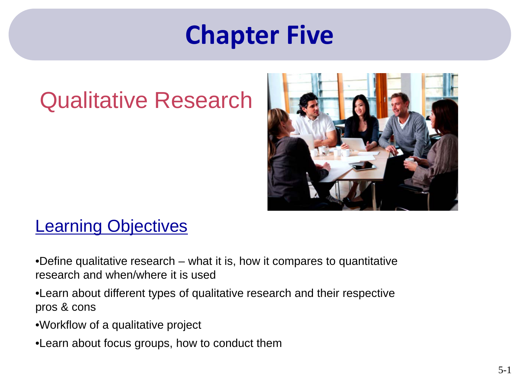## **Chapter Five**

### Qualitative Research



### **Learning Objectives**

•Define qualitative research – what it is, how it compares to quantitative research and when/where it is used

- •Learn about different types of qualitative research and their respective pros & cons
- •Workflow of a qualitative project
- •Learn about focus groups, how to conduct them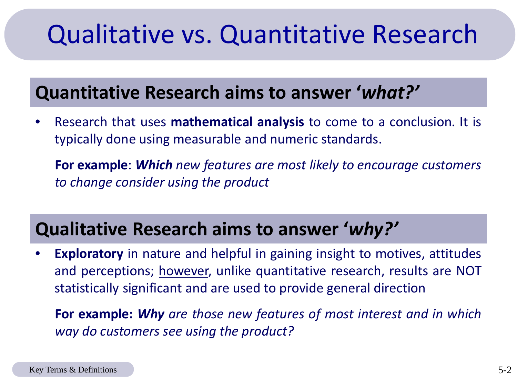# <span id="page-1-0"></span>Qualitative vs. Quantitative Research

### **Quantitative Research aims to answer '***what?'*

• Research that uses **mathematical analysis** to come to a conclusion. It is typically done using measurable and numeric standards.

**For example**: *Which new features are most likely to encourage customers to change consider using the product*

### **Qualitative Research aims to answer '***why?'*

**Exploratory** in nature and helpful in gaining insight to motives, attitudes and perceptions; however, unlike quantitative research, results are NOT statistically significant and are used to provide general direction

**For example:** *Why are those new features of most interest and in which way do customers see using the product?*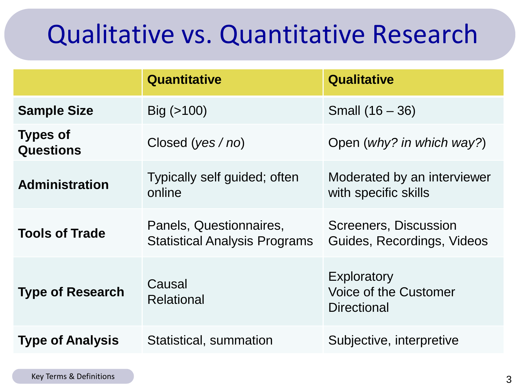# Qualitative vs. Quantitative Research

|                                     | Quantitative                                                    | <b>Qualitative</b>                                                |  |
|-------------------------------------|-----------------------------------------------------------------|-------------------------------------------------------------------|--|
| <b>Sample Size</b>                  | $Big( > 100 \right)$                                            | Small $(16 - 36)$                                                 |  |
| <b>Types of</b><br><b>Questions</b> | Closed ( $yes/no$ )                                             | Open (why? in which way?)                                         |  |
| <b>Administration</b>               | Typically self guided; often<br>online                          | Moderated by an interviewer<br>with specific skills               |  |
| <b>Tools of Trade</b>               | Panels, Questionnaires,<br><b>Statistical Analysis Programs</b> | Screeners, Discussion<br>Guides, Recordings, Videos               |  |
| <b>Type of Research</b>             | Causal<br><b>Relational</b>                                     | Exploratory<br><b>Voice of the Customer</b><br><b>Directional</b> |  |
| <b>Type of Analysis</b>             | Statistical, summation                                          | Subjective, interpretive                                          |  |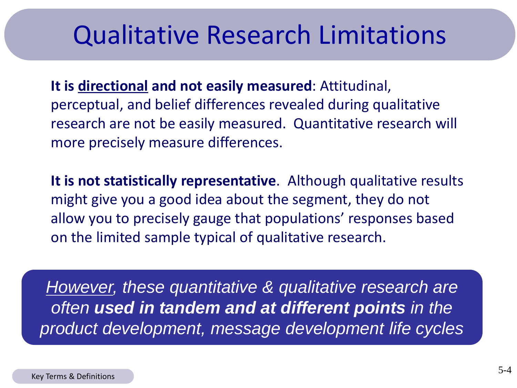### Qualitative Research Limitations

**It is directional and not easily measured**: Attitudinal, perceptual, and belief differences revealed during qualitative research are not be easily measured. Quantitative research will more precisely measure differences.

**It is not statistically representative**. Although qualitative results might give you a good idea about the segment, they do not allow you to precisely gauge that populations' responses based on the limited sample typical of qualitative research.

*However, these quantitative & qualitative research are often used in tandem and at different points in the product development, message development life cycles*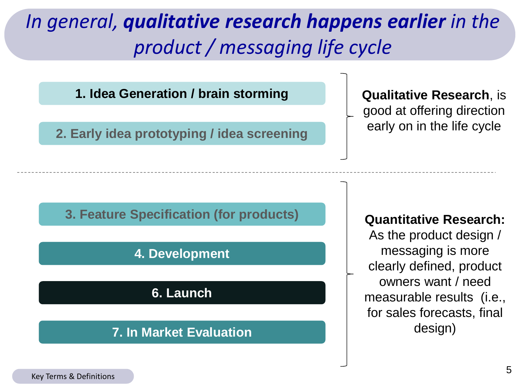### *In general, qualitative research happens earlier in the product / messaging life cycle*

**1. Idea Generation / brain storming**

**2. Early idea prototyping / idea screening**

**Qualitative Research**, is good at offering direction early on in the life cycle

#### **3. Feature Specification (for products)**

#### **4. Development**

**6. Launch**

#### **7. In Market Evaluation**

#### **Quantitative Research:**

As the product design / messaging is more clearly defined, product owners want / need measurable results (i.e., for sales forecasts, final design)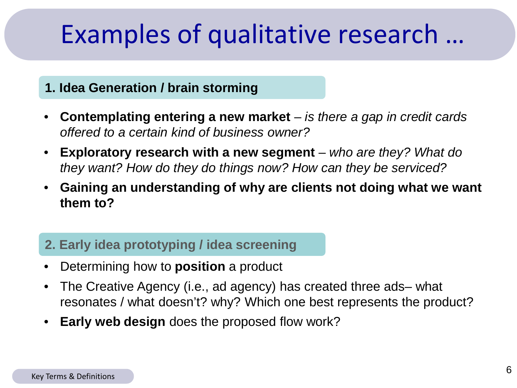# <span id="page-5-0"></span>Examples of qualitative research …

#### **1. Idea Generation / brain storming**

- **Contemplating entering a new market**  *is there a gap in credit cards offered to a certain kind of business owner?*
- **Exploratory research with a new segment**  *who are they? What do they want? How do they do things now? How can they be serviced?*
- **Gaining an understanding of why are clients not doing what we want them to?**

#### **2. Early idea prototyping / idea screening**

- Determining how to **position** a product
- The Creative Agency (i.e., ad agency) has created three ads– what resonates / what doesn't? why? Which one best represents the product?
- **Early web design** does the proposed flow work?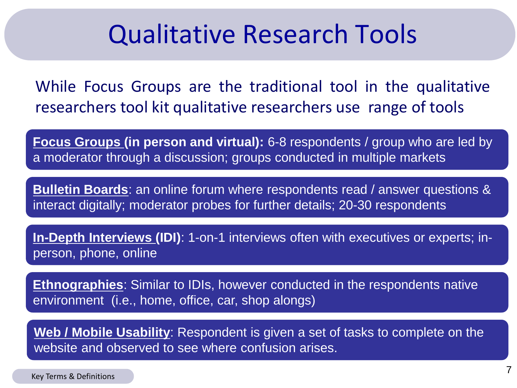### Qualitative Research Tools

While Focus Groups are the traditional tool in the qualitative researchers tool kit qualitative researchers use range of tools

**Focus Groups (in person and virtual):** 6-8 respondents / group who are led by a moderator through a discussion; groups conducted in multiple markets

**Bulletin Boards**: an online forum where respondents read / answer questions & interact digitally; moderator probes for further details; 20-30 respondents

**In-Depth Interviews (IDI)**: 1-on-1 interviews often with executives or experts; inperson, phone, online

**Ethnographies**: Similar to IDIs, however conducted in the respondents native environment (i.e., home, office, car, shop alongs)

**Web / Mobile Usability**: Respondent is given a set of tasks to complete on the website and observed to see where confusion arises.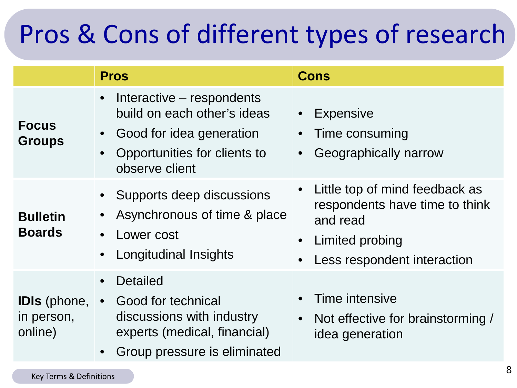# <span id="page-7-0"></span>Pros & Cons of different types of research

|                                              | <b>Pros</b>                                                                                                                                                                   | <b>Cons</b>                                                                                                                                 |
|----------------------------------------------|-------------------------------------------------------------------------------------------------------------------------------------------------------------------------------|---------------------------------------------------------------------------------------------------------------------------------------------|
| <b>Focus</b><br><b>Groups</b>                | Interactive – respondents<br>$\bullet$<br>build on each other's ideas<br>Good for idea generation<br>$\bullet$<br>Opportunities for clients to<br>$\bullet$<br>observe client | <b>Expensive</b><br>Time consuming<br>Geographically narrow                                                                                 |
| <b>Bulletin</b><br><b>Boards</b>             | • Supports deep discussions<br>Asynchronous of time & place<br>Lower cost<br>Longitudinal Insights                                                                            | Little top of mind feedback as<br>$\bullet$<br>respondents have time to think<br>and read<br>Limited probing<br>Less respondent interaction |
| <b>IDIs</b> (phone,<br>in person,<br>online) | <b>Detailed</b><br>Good for technical<br>discussions with industry<br>experts (medical, financial)<br>Group pressure is eliminated<br>$\bullet$                               | Time intensive<br>Not effective for brainstorming /<br>$\bullet$<br>idea generation                                                         |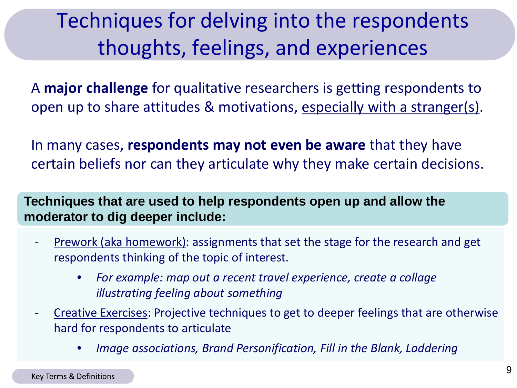### <span id="page-8-0"></span>Techniques for delving into the respondents thoughts, feelings, and experiences

A **major challenge** for qualitative researchers is getting respondents to open up to share attitudes & motivations, especially with a stranger(s).

In many cases, **respondents may not even be aware** that they have certain beliefs nor can they articulate why they make certain decisions.

**Techniques that are used to help respondents open up and allow the moderator to dig deeper include:**

- Prework (aka homework): assignments that set the stage for the research and get respondents thinking of the topic of interest.
	- *For example: map out a recent travel experience, create a collage illustrating feeling about something*
- Creative Exercises: Projective techniques to get to deeper feelings that are otherwise hard for respondents to articulate
	- *Image associations, Brand Personification, Fill in the Blank, Laddering*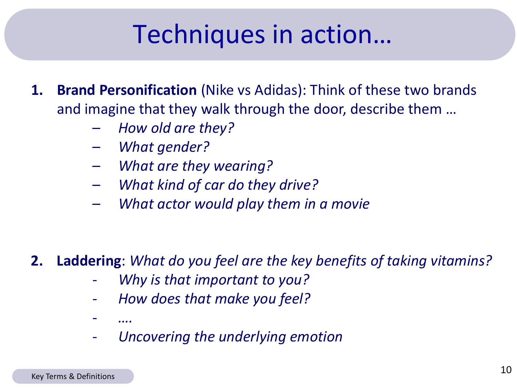# Techniques in action…

- **1. Brand Personification** (Nike vs Adidas): Think of these two brands and imagine that they walk through the door, describe them …
	- *How old are they?*
	- *What gender?*
	- *What are they wearing?*
	- *What kind of car do they drive?*
	- *What actor would play them in a movie*

### **2. Laddering**: *What do you feel are the key benefits of taking vitamins?*

- *Why is that important to you?*
- *How does that make you feel?*
- *….*
- *Uncovering the underlying emotion*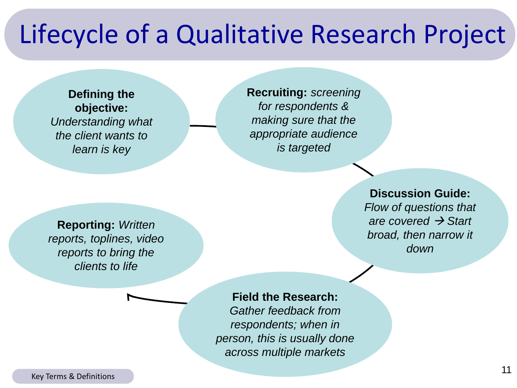## Lifecycle of a Qualitative Research Project

**Defining the objective:**  *Understanding what the client wants to learn is key*

**Recruiting:** *screening for respondents & making sure that the appropriate audience is targeted*

#### **Discussion Guide:**

*Flow of questions that are covered → Start broad, then narrow it down*

**Reporting:** *Written reports, toplines, video reports to bring the clients to life*

#### **Field the Research:**

*Gather feedback from respondents; when in person, this is usually done across multiple markets*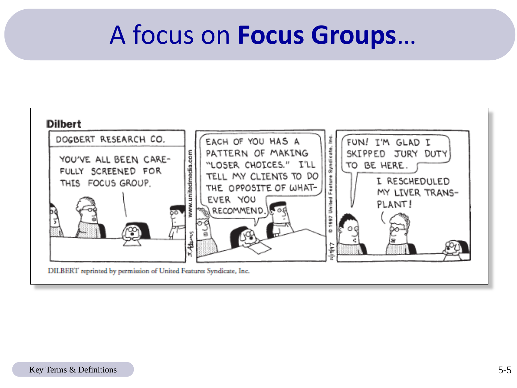### A focus on **Focus Groups**…

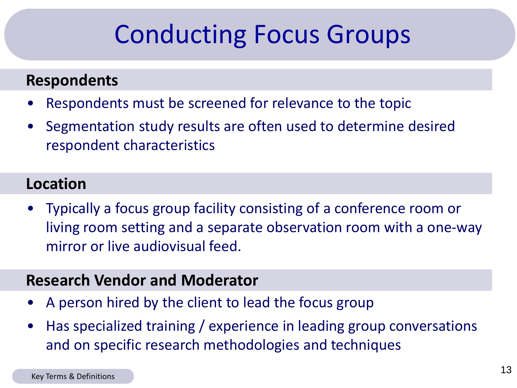# Conducting Focus Groups

#### <span id="page-12-0"></span>**Respondents**

- Respondents must be screened for relevance to the topic
- Segmentation study results are often used to determine desired respondent characteristics

#### **Location**

• Typically a focus group facility consisting of a conference room or living room setting and a separate observation room with a one-way mirror or live audiovisual feed.

#### **Research Vendor and Moderator**

- A person hired by the client to lead the focus group
- Has specialized training / experience in leading group conversations and on specific research methodologies and techniques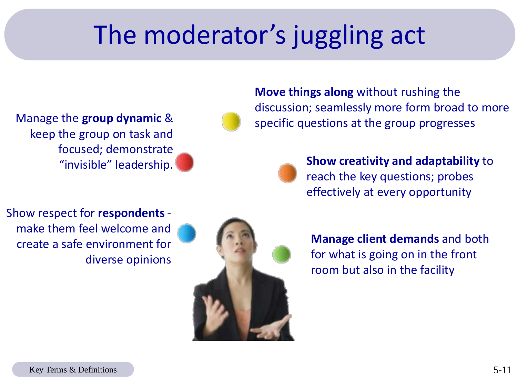# The moderator's juggling act

Manage the **group dynamic** & keep the group on task and focused; demonstrate "invisible" leadership.



**Move things along** without rushing the discussion; seamlessly more form broad to more specific questions at the group progresses



**Show creativity and adaptability** to reach the key questions; probes effectively at every opportunity

Show respect for **respondents** make them feel welcome and create a safe environment for diverse opinions



**Manage client demands** and both for what is going on in the front room but also in the facility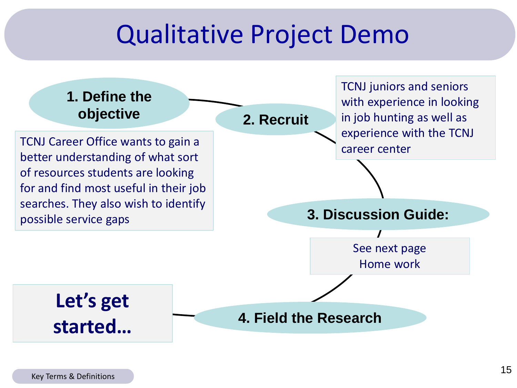### Qualitative Project Demo

# **1. Define the**

TCNJ Career Office wants to gain a better understanding of what sort of resources students are looking for and find most useful in their job searches. They also wish to identify possible service gaps

**objective 2. Recruit**

TCNJ juniors and seniors with experience in looking in job hunting as well as experience with the TCNJ career center

**3. Discussion Guide:**

See next page Home work

**Let's get started…**

**4. Field the Research**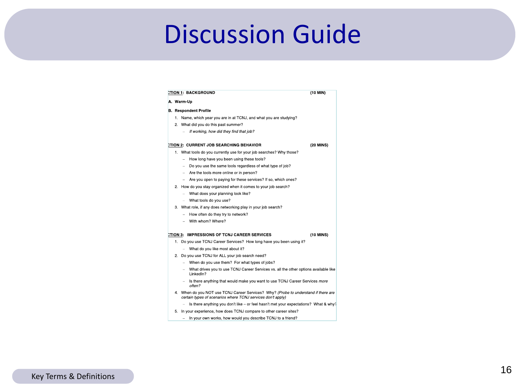## <span id="page-15-0"></span>Discussion Guide

|                | A. Warm Up                                                                                                                                         |           |  |  |  |
|----------------|----------------------------------------------------------------------------------------------------------------------------------------------------|-----------|--|--|--|
|                | <b>B.</b> Respondent Profile                                                                                                                       |           |  |  |  |
|                | 1. Name, which year you are in at TCNJ, and what you are studying?                                                                                 |           |  |  |  |
|                | 2 What did you do this past summer?                                                                                                                |           |  |  |  |
|                | If working, how did they find that job?                                                                                                            |           |  |  |  |
|                | CTION 2: CURRENT JOB SEARCHING BEHAVIOR                                                                                                            | (20 MINS) |  |  |  |
|                | 1. What tools do you currently use for your job searches? Why those?                                                                               |           |  |  |  |
|                | How long have you been using these tools?                                                                                                          |           |  |  |  |
|                | Do you use the same tools regardless of what type of job?<br>$\sim$                                                                                |           |  |  |  |
|                | - Are the tools more online or in person?                                                                                                          |           |  |  |  |
|                | - Are you open to paying for these services? If so, which ones?                                                                                    |           |  |  |  |
|                | 2. How do you stay organized when it comes to your job search?                                                                                     |           |  |  |  |
|                | - What does your planning look like?                                                                                                               |           |  |  |  |
|                | - What tools do you use?                                                                                                                           |           |  |  |  |
|                | 3. What role, if any does networking play in your job search?                                                                                      |           |  |  |  |
|                | How often do they try to network?<br>- 1                                                                                                           |           |  |  |  |
|                | - With whom? Where?                                                                                                                                |           |  |  |  |
|                | CTION 3. IMPRESSIONS OF TCNJ CAREER SERVICES                                                                                                       | (10 MINS) |  |  |  |
|                | 1. Do you use TCNJ Career Services? How long have you been using it?                                                                               |           |  |  |  |
|                | - What do you like most about it?                                                                                                                  |           |  |  |  |
| 2 <sup>1</sup> | Do you use TCNJ for ALL your job search need?                                                                                                      |           |  |  |  |
|                | - When do you use them? For what types of jobs?                                                                                                    |           |  |  |  |
|                | - What drives you to use TCNJ Career Services vs. all the other options available like<br>LinkedIn?                                                |           |  |  |  |
|                | - Is there anything that would make you want to use TCNJ Career Services more<br>often?                                                            |           |  |  |  |
|                | 4. When do you NOT use TCNJ Career Services? Why? (Probe to understand if there are<br>certain types of scenarios where TCNJ services don't apply) |           |  |  |  |
|                | Is there anything you don't like – or feel hasn't met your expectations? What & why?                                                               |           |  |  |  |
|                | 5. In your experience, how does TCNJ compare to other career sites?                                                                                |           |  |  |  |
|                | In your own works, how would you describe TCNJ to a friend?                                                                                        |           |  |  |  |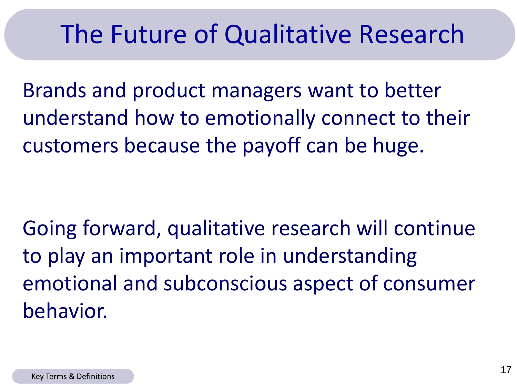## <span id="page-16-0"></span>The Future of Qualitative Research

Brands and product managers want to better understand how to emotionally connect to their customers because the payoff can be huge.

Going forward, qualitative research will continue to play an important role in understanding emotional and subconscious aspect of consumer behavior.